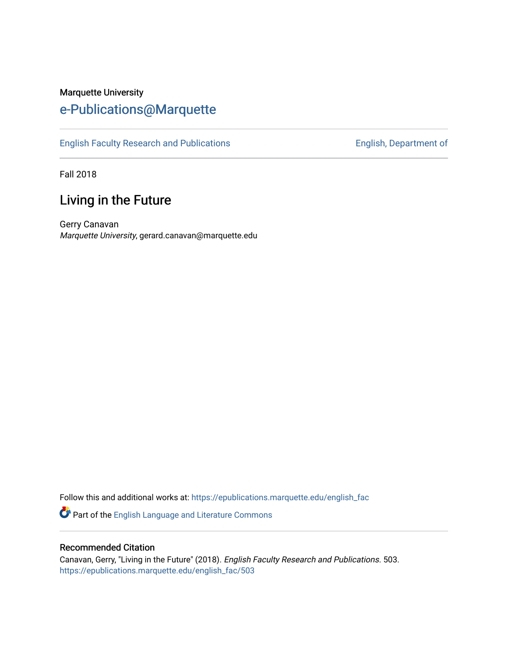## Marquette University [e-Publications@Marquette](https://epublications.marquette.edu/)

[English Faculty Research and Publications](https://epublications.marquette.edu/english_fac) **English, Department of** English, Department of

Fall 2018

## Living in the Future

Gerry Canavan Marquette University, gerard.canavan@marquette.edu

Follow this and additional works at: [https://epublications.marquette.edu/english\\_fac](https://epublications.marquette.edu/english_fac?utm_source=epublications.marquette.edu%2Fenglish_fac%2F503&utm_medium=PDF&utm_campaign=PDFCoverPages)

Part of the [English Language and Literature Commons](http://network.bepress.com/hgg/discipline/455?utm_source=epublications.marquette.edu%2Fenglish_fac%2F503&utm_medium=PDF&utm_campaign=PDFCoverPages)

#### Recommended Citation

Canavan, Gerry, "Living in the Future" (2018). English Faculty Research and Publications. 503. [https://epublications.marquette.edu/english\\_fac/503](https://epublications.marquette.edu/english_fac/503?utm_source=epublications.marquette.edu%2Fenglish_fac%2F503&utm_medium=PDF&utm_campaign=PDFCoverPages)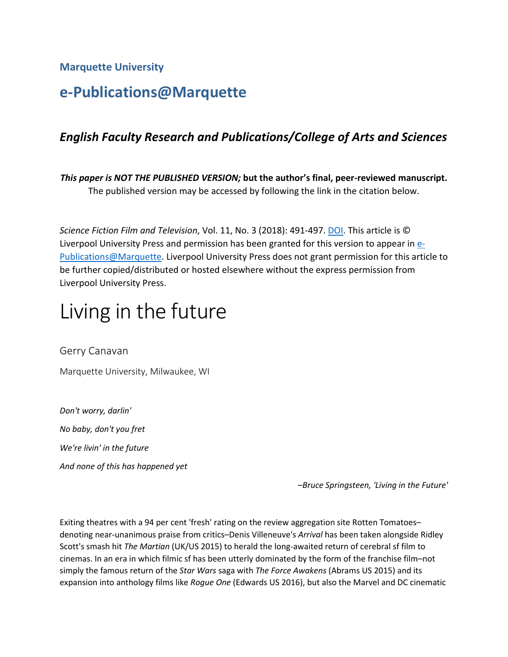**Marquette University**

# **e-Publications@Marquette**

### *English Faculty Research and Publications/College of Arts and Sciences*

*This paper is NOT THE PUBLISHED VERSION;* **but the author's final, peer-reviewed manuscript.**  The published version may be accessed by following the link in the citation below.

*Science Fiction Film and Television*, Vol. 11, No. 3 (2018): 491-497. [DOI.](http://muse.jhu.edu/article/705235) This article is © Liverpool University Press and permission has been granted for this version to appear i[n e-](http://epublications.marquette.edu/)[Publications@Marquette.](http://epublications.marquette.edu/) Liverpool University Press does not grant permission for this article to be further copied/distributed or hosted elsewhere without the express permission from Liverpool University Press.

# Living in the future

Gerry Canavan

Marquette University, Milwaukee, WI

*Don't worry, darlin' No baby, don't you fret We're livin' in the future And none of this has happened yet*

*–Bruce Springsteen, 'Living in the Future'*

Exiting theatres with a 94 per cent 'fresh' rating on the review aggregation site Rotten Tomatoes– denoting near-unanimous praise from critics–Denis Villeneuve's *Arrival* has been taken alongside Ridley Scott's smash hit *The Martian* (UK/US 2015) to herald the long-awaited return of cerebral sf film to cinemas. In an era in which filmic sf has been utterly dominated by the form of the franchise film–not simply the famous return of the *Star Wars* saga with *The Force Awakens* (Abrams US 2015) and its expansion into anthology films like *Rogue One* (Edwards US 2016), but also the Marvel and DC cinematic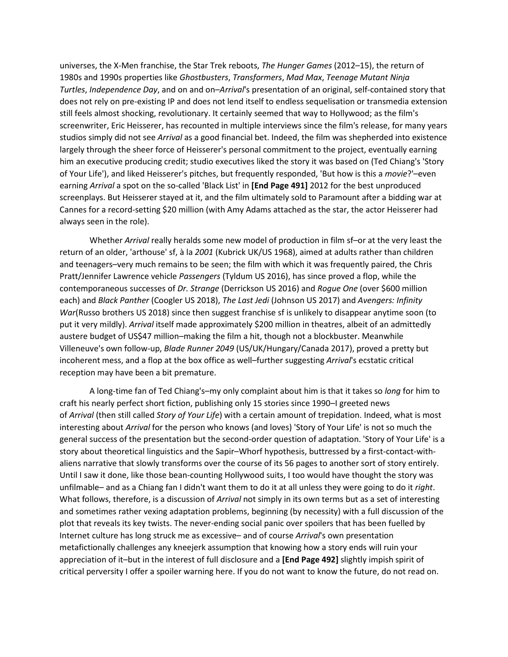universes, the X-Men franchise, the Star Trek reboots, *The Hunger Games* (2012–15), the return of 1980s and 1990s properties like *Ghostbusters*, *Transformers*, *Mad Max*, *Teenage Mutant Ninja Turtles*, *Independence Day*, and on and on–*Arrival*'s presentation of an original, self-contained story that does not rely on pre-existing IP and does not lend itself to endless sequelisation or transmedia extension still feels almost shocking, revolutionary. It certainly seemed that way to Hollywood; as the film's screenwriter, Eric Heisserer, has recounted in multiple interviews since the film's release, for many years studios simply did not see *Arrival* as a good financial bet. Indeed, the film was shepherded into existence largely through the sheer force of Heisserer's personal commitment to the project, eventually earning him an executive producing credit; studio executives liked the story it was based on (Ted Chiang's 'Story of Your Life'), and liked Heisserer's pitches, but frequently responded, 'But how is this a *movie*?'–even earning *Arrival* a spot on the so-called 'Black List' in **[End Page 491]** 2012 for the best unproduced screenplays. But Heisserer stayed at it, and the film ultimately sold to Paramount after a bidding war at Cannes for a record-setting \$20 million (with Amy Adams attached as the star, the actor Heisserer had always seen in the role).

Whether *Arrival* really heralds some new model of production in film sf–or at the very least the return of an older, 'arthouse' sf, à la *2001* (Kubrick UK/US 1968), aimed at adults rather than children and teenagers–very much remains to be seen; the film with which it was frequently paired, the Chris Pratt/Jennifer Lawrence vehicle *Passengers* (Tyldum US 2016), has since proved a flop, while the contemporaneous successes of *Dr. Strange* (Derrickson US 2016) and *Rogue One* (over \$600 million each) and *Black Panther* (Coogler US 2018), *The Last Jedi* (Johnson US 2017) and *Avengers: Infinity War*(Russo brothers US 2018) since then suggest franchise sf is unlikely to disappear anytime soon (to put it very mildly). *Arrival* itself made approximately \$200 million in theatres, albeit of an admittedly austere budget of US\$47 million–making the film a hit, though not a blockbuster. Meanwhile Villeneuve's own follow-up, *Blade Runner 2049* (US/UK/Hungary/Canada 2017), proved a pretty but incoherent mess, and a flop at the box office as well–further suggesting *Arrival*'s ecstatic critical reception may have been a bit premature.

A long-time fan of Ted Chiang's–my only complaint about him is that it takes so *long* for him to craft his nearly perfect short fiction, publishing only 15 stories since 1990-I greeted news of *Arrival* (then still called *Story of Your Life*) with a certain amount of trepidation. Indeed, what is most interesting about *Arrival* for the person who knows (and loves) 'Story of Your Life' is not so much the general success of the presentation but the second-order question of adaptation. 'Story of Your Life' is a story about theoretical linguistics and the Sapir–Whorf hypothesis, buttressed by a first-contact-withaliens narrative that slowly transforms over the course of its 56 pages to another sort of story entirely. Until I saw it done, like those bean-counting Hollywood suits, I too would have thought the story was unfilmable– and as a Chiang fan I didn't want them to do it at all unless they were going to do it *right*. What follows, therefore, is a discussion of *Arrival* not simply in its own terms but as a set of interesting and sometimes rather vexing adaptation problems, beginning (by necessity) with a full discussion of the plot that reveals its key twists. The never-ending social panic over spoilers that has been fuelled by Internet culture has long struck me as excessive– and of course *Arrival*'s own presentation metafictionally challenges any kneejerk assumption that knowing how a story ends will ruin your appreciation of it–but in the interest of full disclosure and a **[End Page 492]** slightly impish spirit of critical perversity I offer a spoiler warning here. If you do not want to know the future, do not read on.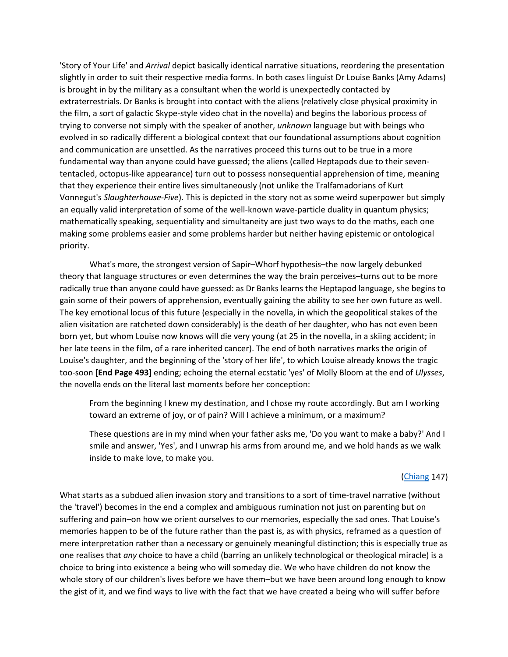'Story of Your Life' and *Arrival* depict basically identical narrative situations, reordering the presentation slightly in order to suit their respective media forms. In both cases linguist Dr Louise Banks (Amy Adams) is brought in by the military as a consultant when the world is unexpectedly contacted by extraterrestrials. Dr Banks is brought into contact with the aliens (relatively close physical proximity in the film, a sort of galactic Skype-style video chat in the novella) and begins the laborious process of trying to converse not simply with the speaker of another, *unknown* language but with beings who evolved in so radically different a biological context that our foundational assumptions about cognition and communication are unsettled. As the narratives proceed this turns out to be true in a more fundamental way than anyone could have guessed; the aliens (called Heptapods due to their sevententacled, octopus-like appearance) turn out to possess nonsequential apprehension of time, meaning that they experience their entire lives simultaneously (not unlike the Tralfamadorians of Kurt Vonnegut's *Slaughterhouse-Five*). This is depicted in the story not as some weird superpower but simply an equally valid interpretation of some of the well-known wave-particle duality in quantum physics; mathematically speaking, sequentiality and simultaneity are just two ways to do the maths, each one making some problems easier and some problems harder but neither having epistemic or ontological priority.

What's more, the strongest version of Sapir–Whorf hypothesis–the now largely debunked theory that language structures or even determines the way the brain perceives–turns out to be more radically true than anyone could have guessed: as Dr Banks learns the Heptapod language, she begins to gain some of their powers of apprehension, eventually gaining the ability to see her own future as well. The key emotional locus of this future (especially in the novella, in which the geopolitical stakes of the alien visitation are ratcheted down considerably) is the death of her daughter, who has not even been born yet, but whom Louise now knows will die very young (at 25 in the novella, in a skiing accident; in her late teens in the film, of a rare inherited cancer). The end of both narratives marks the origin of Louise's daughter, and the beginning of the 'story of her life', to which Louise already knows the tragic too-soon **[End Page 493]** ending; echoing the eternal ecstatic 'yes' of Molly Bloom at the end of *Ulysses*, the novella ends on the literal last moments before her conception:

From the beginning I knew my destination, and I chose my route accordingly. But am I working toward an extreme of joy, or of pain? Will I achieve a minimum, or a maximum?

These questions are in my mind when your father asks me, 'Do you want to make a baby?' And I smile and answer, 'Yes', and I unwrap his arms from around me, and we hold hands as we walk inside to make love, to make you.

#### [\(Chiang](http://muse.jhu.edu/article/705235#b1) 147)

What starts as a subdued alien invasion story and transitions to a sort of time-travel narrative (without the 'travel') becomes in the end a complex and ambiguous rumination not just on parenting but on suffering and pain–on how we orient ourselves to our memories, especially the sad ones. That Louise's memories happen to be of the future rather than the past is, as with physics, reframed as a question of mere interpretation rather than a necessary or genuinely meaningful distinction; this is especially true as one realises that *any* choice to have a child (barring an unlikely technological or theological miracle) is a choice to bring into existence a being who will someday die. We who have children do not know the whole story of our children's lives before we have them–but we have been around long enough to know the gist of it, and we find ways to live with the fact that we have created a being who will suffer before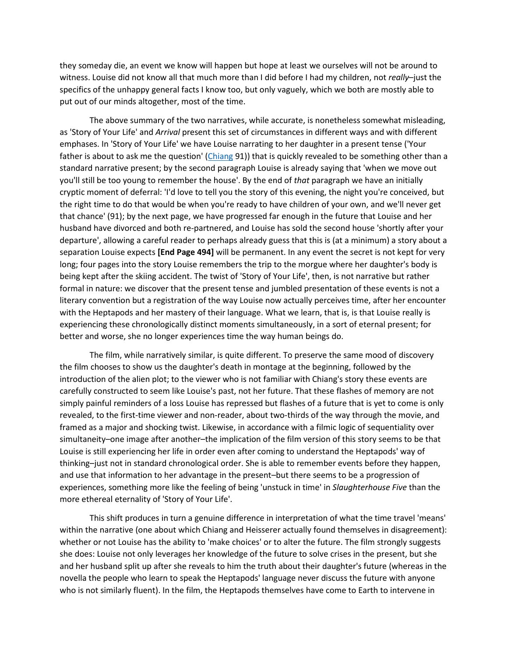they someday die, an event we know will happen but hope at least we ourselves will not be around to witness. Louise did not know all that much more than I did before I had my children, not *really*–just the specifics of the unhappy general facts I know too, but only vaguely, which we both are mostly able to put out of our minds altogether, most of the time.

The above summary of the two narratives, while accurate, is nonetheless somewhat misleading, as 'Story of Your Life' and *Arrival* present this set of circumstances in different ways and with different emphases. In 'Story of Your Life' we have Louise narrating to her daughter in a present tense ('Your father is about to ask me the question' [\(Chiang](http://muse.jhu.edu/article/705235#b1) 91)) that is quickly revealed to be something other than a standard narrative present; by the second paragraph Louise is already saying that 'when we move out you'll still be too young to remember the house'. By the end of *that* paragraph we have an initially cryptic moment of deferral: 'I'd love to tell you the story of this evening, the night you're conceived, but the right time to do that would be when you're ready to have children of your own, and we'll never get that chance' (91); by the next page, we have progressed far enough in the future that Louise and her husband have divorced and both re-partnered, and Louise has sold the second house 'shortly after your departure', allowing a careful reader to perhaps already guess that this is (at a minimum) a story about a separation Louise expects **[End Page 494]** will be permanent. In any event the secret is not kept for very long; four pages into the story Louise remembers the trip to the morgue where her daughter's body is being kept after the skiing accident. The twist of 'Story of Your Life', then, is not narrative but rather formal in nature: we discover that the present tense and jumbled presentation of these events is not a literary convention but a registration of the way Louise now actually perceives time, after her encounter with the Heptapods and her mastery of their language. What we learn, that is, is that Louise really is experiencing these chronologically distinct moments simultaneously, in a sort of eternal present; for better and worse, she no longer experiences time the way human beings do.

The film, while narratively similar, is quite different. To preserve the same mood of discovery the film chooses to show us the daughter's death in montage at the beginning, followed by the introduction of the alien plot; to the viewer who is not familiar with Chiang's story these events are carefully constructed to seem like Louise's past, not her future. That these flashes of memory are not simply painful reminders of a loss Louise has repressed but flashes of a future that is yet to come is only revealed, to the first-time viewer and non-reader, about two-thirds of the way through the movie, and framed as a major and shocking twist. Likewise, in accordance with a filmic logic of sequentiality over simultaneity–one image after another–the implication of the film version of this story seems to be that Louise is still experiencing her life in order even after coming to understand the Heptapods' way of thinking–just not in standard chronological order. She is able to remember events before they happen, and use that information to her advantage in the present–but there seems to be a progression of experiences, something more like the feeling of being 'unstuck in time' in *Slaughterhouse Five* than the more ethereal eternality of 'Story of Your Life'.

This shift produces in turn a genuine difference in interpretation of what the time travel 'means' within the narrative (one about which Chiang and Heisserer actually found themselves in disagreement): whether or not Louise has the ability to 'make choices' or to alter the future. The film strongly suggests she does: Louise not only leverages her knowledge of the future to solve crises in the present, but she and her husband split up after she reveals to him the truth about their daughter's future (whereas in the novella the people who learn to speak the Heptapods' language never discuss the future with anyone who is not similarly fluent). In the film, the Heptapods themselves have come to Earth to intervene in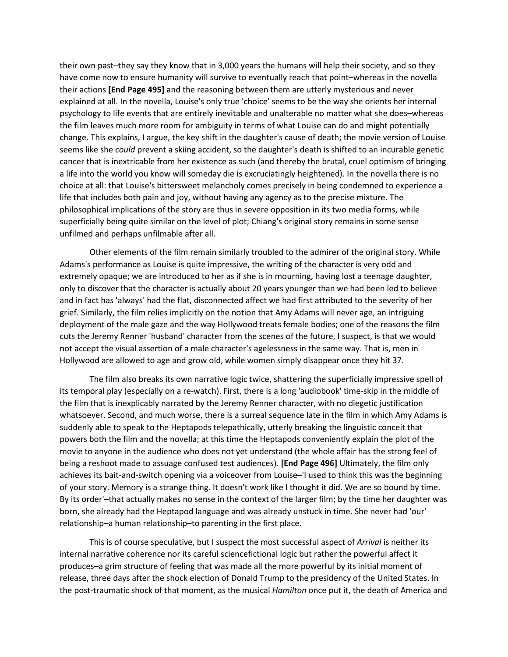their own past–they say they know that in 3,000 years the humans will help their society, and so they have come now to ensure humanity will survive to eventually reach that point–whereas in the novella their actions **[End Page 495]** and the reasoning between them are utterly mysterious and never explained at all. In the novella, Louise's only true 'choice' seems to be the way she orients her internal psychology to life events that are entirely inevitable and unalterable no matter what she does–whereas the film leaves much more room for ambiguity in terms of what Louise can do and might potentially change. This explains, I argue, the key shift in the daughter's cause of death; the movie version of Louise seems like she *could* prevent a skiing accident, so the daughter's death is shifted to an incurable genetic cancer that is inextricable from her existence as such (and thereby the brutal, cruel optimism of bringing a life into the world you know will someday die is excruciatingly heightened). In the novella there is no choice at all: that Louise's bittersweet melancholy comes precisely in being condemned to experience a life that includes both pain and joy, without having any agency as to the precise mixture. The philosophical implications of the story are thus in severe opposition in its two media forms, while superficially being quite similar on the level of plot; Chiang's original story remains in some sense unfilmed and perhaps unfilmable after all.

Other elements of the film remain similarly troubled to the admirer of the original story. While Adams's performance as Louise is quite impressive, the writing of the character is very odd and extremely opaque; we are introduced to her as if she is in mourning, having lost a teenage daughter, only to discover that the character is actually about 20 years younger than we had been led to believe and in fact has 'always' had the flat, disconnected affect we had first attributed to the severity of her grief. Similarly, the film relies implicitly on the notion that Amy Adams will never age, an intriguing deployment of the male gaze and the way Hollywood treats female bodies; one of the reasons the film cuts the Jeremy Renner 'husband' character from the scenes of the future, I suspect, is that we would not accept the visual assertion of a male character's agelessness in the same way. That is, men in Hollywood are allowed to age and grow old, while women simply disappear once they hit 37.

The film also breaks its own narrative logic twice, shattering the superficially impressive spell of its temporal play (especially on a re-watch). First, there is a long 'audiobook' time-skip in the middle of the film that is inexplicably narrated by the Jeremy Renner character, with no diegetic justification whatsoever. Second, and much worse, there is a surreal sequence late in the film in which Amy Adams is suddenly able to speak to the Heptapods telepathically, utterly breaking the linguistic conceit that powers both the film and the novella; at this time the Heptapods conveniently explain the plot of the movie to anyone in the audience who does not yet understand (the whole affair has the strong feel of being a reshoot made to assuage confused test audiences). **[End Page 496]** Ultimately, the film only achieves its bait-and-switch opening via a voiceover from Louise–'I used to think this was the beginning of your story. Memory is a strange thing. It doesn't work like I thought it did. We are so bound by time. By its order'–that actually makes no sense in the context of the larger film; by the time her daughter was born, she already had the Heptapod language and was already unstuck in time. She never had 'our' relationship–a human relationship–to parenting in the first place.

This is of course speculative, but I suspect the most successful aspect of *Arrival* is neither its internal narrative coherence nor its careful sciencefictional logic but rather the powerful affect it produces–a grim structure of feeling that was made all the more powerful by its initial moment of release, three days after the shock election of Donald Trump to the presidency of the United States. In the post-traumatic shock of that moment, as the musical *Hamilton* once put it, the death of America and